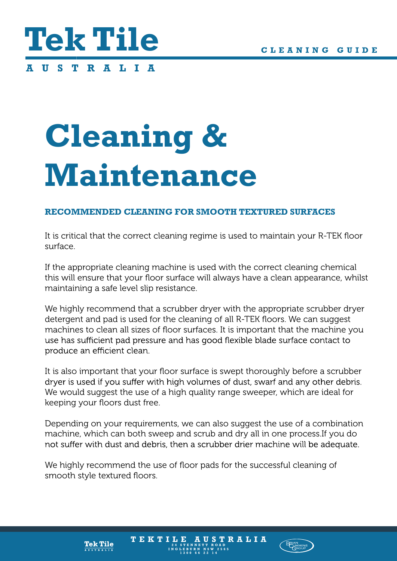

**A USTR A L I A**

## **Cleaning & Maintenance**

## **RECOMMENDED CLEANING FOR SMOOTH TEXTURED SURFACES**

It is critical that the correct cleaning regime is used to maintain your R-TEK floor surface.

If the appropriate cleaning machine is used with the correct cleaning chemical this will ensure that your floor surface will always have a clean appearance, whilst maintaining a safe level slip resistance.

We highly recommend that a scrubber dryer with the appropriate scrubber dryer detergent and pad is used for the cleaning of all R-TEK floors. We can suggest machines to clean all sizes of floor surfaces. It is important that the machine you use has sufficient pad pressure and has good flexible blade surface contact to produce an efficient clean.

It is also important that your floor surface is swept thoroughly before a scrubber dryer is used if you suffer with high volumes of dust, swarf and any other debris. We would suggest the use of a high quality range sweeper, which are ideal for keeping your floors dust free.

Depending on your requirements, we can also suggest the use of a combination machine, which can both sweep and scrub and dry all in one process.If you do not suffer with dust and debris, then a scrubber drier machine will be adequate.

We highly recommend the use of floor pads for the successful cleaning of smooth style textured floors.